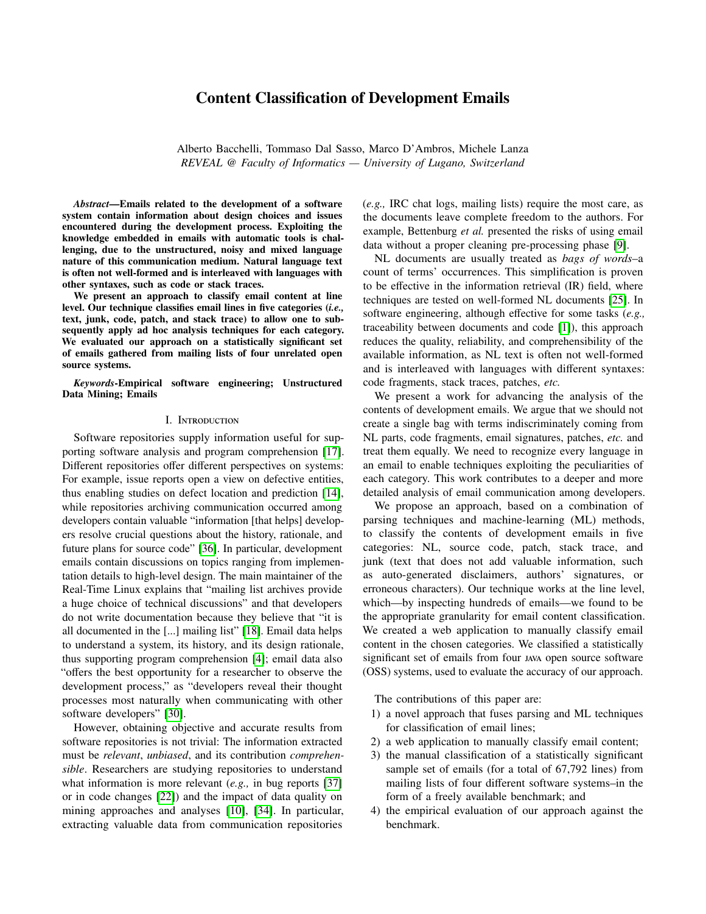# Content Classification of Development Emails

Alberto Bacchelli, Tommaso Dal Sasso, Marco D'Ambros, Michele Lanza *REVEAL @ Faculty of Informatics — University of Lugano, Switzerland*

*Abstract*—Emails related to the development of a software system contain information about design choices and issues encountered during the development process. Exploiting the knowledge embedded in emails with automatic tools is challenging, due to the unstructured, noisy and mixed language nature of this communication medium. Natural language text is often not well-formed and is interleaved with languages with other syntaxes, such as code or stack traces.

We present an approach to classify email content at line level. Our technique classifies email lines in five categories (*i.e.,* text, junk, code, patch, and stack trace) to allow one to subsequently apply ad hoc analysis techniques for each category. We evaluated our approach on a statistically significant set of emails gathered from mailing lists of four unrelated open source systems.

*Keywords*-Empirical software engineering; Unstructured Data Mining; Emails

#### I. Introduction

Software repositories supply information useful for supporting software analysis and program comprehension [\[17\]](#page-10-0). Different repositories offer different perspectives on systems: For example, issue reports open a view on defective entities, thus enabling studies on defect location and prediction [\[14\]](#page-10-1), while repositories archiving communication occurred among developers contain valuable "information [that helps] developers resolve crucial questions about the history, rationale, and future plans for source code" [\[36\]](#page-10-2). In particular, development emails contain discussions on topics ranging from implementation details to high-level design. The main maintainer of the Real-Time Linux explains that "mailing list archives provide a huge choice of technical discussions" and that developers do not write documentation because they believe that "it is all documented in the [...] mailing list" [\[18\]](#page-10-3). Email data helps to understand a system, its history, and its design rationale, thus supporting program comprehension [\[4\]](#page-10-4); email data also "offers the best opportunity for a researcher to observe the development process," as "developers reveal their thought processes most naturally when communicating with other software developers" [\[30\]](#page-10-5).

However, obtaining objective and accurate results from software repositories is not trivial: The information extracted must be *relevant*, *unbiased*, and its contribution *comprehensible*. Researchers are studying repositories to understand what information is more relevant (*e.g.,* in bug reports [\[37\]](#page-10-6) or in code changes [\[22\]](#page-10-7)) and the impact of data quality on mining approaches and analyses [\[10\]](#page-10-8), [\[34\]](#page-10-9). In particular, extracting valuable data from communication repositories

(*e.g.,* IRC chat logs, mailing lists) require the most care, as the documents leave complete freedom to the authors. For example, Bettenburg *et al.* presented the risks of using email data without a proper cleaning pre-processing phase [\[9\]](#page-10-10).

NL documents are usually treated as *bags of words*–a count of terms' occurrences. This simplification is proven to be effective in the information retrieval (IR) field, where techniques are tested on well-formed NL documents [\[25\]](#page-10-11). In software engineering, although effective for some tasks (*e.g.,* traceability between documents and code [\[1\]](#page-10-12)), this approach reduces the quality, reliability, and comprehensibility of the available information, as NL text is often not well-formed and is interleaved with languages with different syntaxes: code fragments, stack traces, patches, *etc.*

We present a work for advancing the analysis of the contents of development emails. We argue that we should not create a single bag with terms indiscriminately coming from NL parts, code fragments, email signatures, patches, *etc.* and treat them equally. We need to recognize every language in an email to enable techniques exploiting the peculiarities of each category. This work contributes to a deeper and more detailed analysis of email communication among developers.

We propose an approach, based on a combination of parsing techniques and machine-learning (ML) methods, to classify the contents of development emails in five categories: NL, source code, patch, stack trace, and junk (text that does not add valuable information, such as auto-generated disclaimers, authors' signatures, or erroneous characters). Our technique works at the line level, which—by inspecting hundreds of emails—we found to be the appropriate granularity for email content classification. We created a web application to manually classify email content in the chosen categories. We classified a statistically significant set of emails from four JAVA open source software (OSS) systems, used to evaluate the accuracy of our approach.

The contributions of this paper are:

- 1) a novel approach that fuses parsing and ML techniques for classification of email lines;
- 2) a web application to manually classify email content;
- 3) the manual classification of a statistically significant sample set of emails (for a total of 67,792 lines) from mailing lists of four different software systems–in the form of a freely available benchmark; and
- 4) the empirical evaluation of our approach against the benchmark.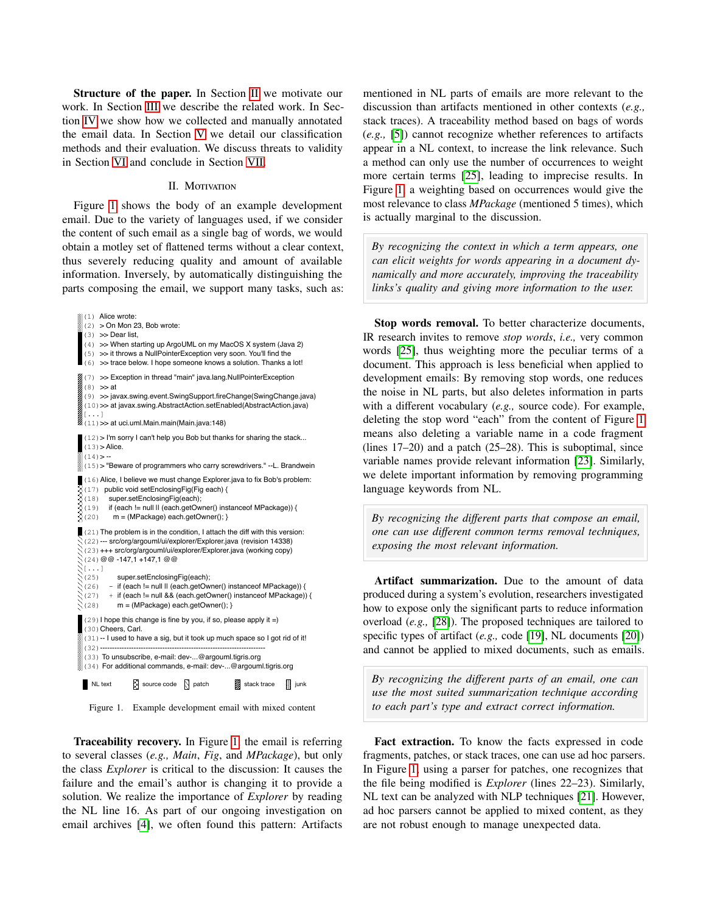Structure of the paper. In Section [II](#page-1-0) we motivate our work. In Section [III](#page-2-0) we describe the related work. In Section [IV](#page-3-0) we show how we collected and manually annotated the email data. In Section [V](#page-4-0) we detail our classification methods and their evaluation. We discuss threats to validity in Section [VI](#page-9-0) and conclude in Section [VII.](#page-9-1)

#### II. MOTIVATION

<span id="page-1-0"></span>Figure [1](#page-1-1) shows the body of an example development email. Due to the variety of languages used, if we consider the content of such email as a single bag of words, we would obtain a motley set of flattened terms without a clear context, thus severely reducing quality and amount of available information. Inversely, by automatically distinguishing the parts composing the email, we support many tasks, such as:

(1) Alice wrote:  $(2)$  > On Mon 23, Bob wrote:  $(3)$   $>>$  Dear list. (4) >> When starting up ArgoUML on my MacOS X system (Java 2) (5) >> it throws a NullPointerException very soon. You'll find the (6) >> trace below. I hope someone knows a solution. Thanks a lot! (7) >> Exception in thread "main" java.lang.NullPointerException  $(8)$   $>>$  at (9) >> javax.swing.event.SwingSupport.fireChange(SwingChange.java) (10)>> at javax.swing.AbstractAction.setEnabled(AbstractAction.java) [...] (11)>> at uci.uml.Main.main(Main.java:148) (12)> I'm sorry I can't help you Bob but thanks for sharing the stack...  $(13)$  > Alice.  $(14)$  > --(15)> "Beware of programmers who carry screwdrivers." --L. Brandwein (16)Alice, I believe we must change Explorer.java to fix Bob's problem: (17) public void setEnclosingFig(Fig each) { (18) super.setEnclosingFig(each); (19) if (each != null || (each.getOwner() instanceof MPackage)) { (20) m = (MPackage) each.getOwner(); } (21) The problem is in the condition, I attach the diff with this version: (22)--- src/org/argouml/ui/explorer/Explorer.java (revision 14338) (23)+++ src/org/argouml/ui/explorer/Explorer.java (working copy) (24)@@ -147,1 +147,1 @@  $\mathcal{N}$ [...]  $(25)$  super.setEnclosingFig(each); (26) - if (each != null || (each.getOwner() instanceof MPackage)) {  $\Im(27)$  + if (each != null && (each.getOwner() instanceof MPackage)) {<br> $\Im(28)$  m = (MPackage) each.getOwner(); } m = (MPackage) each.getOwner(); }  $(29)$  I hope this change is fine by you, if so, please apply it =) (30)Cheers, Carl. (31)-- I used to have a sig, but it took up much space so I got rid of it! (32)--------------------------------------------------------------------- (33) To unsubscribe, e-mail: dev-...@argouml.tigris.org (34) For additional commands, e-mail: dev-...@argouml.tigris.org  $\blacksquare$  NL text  $\boxtimes$  source code  $\boxtimes$  patch  $\blacksquare$  stack trace  $\blacksquare$  junk

Figure 1. Example development email with mixed content

Traceability recovery. In Figure [1,](#page-1-1) the email is referring to several classes (*e.g., Main*, *Fig*, and *MPackage*), but only the class *Explorer* is critical to the discussion: It causes the failure and the email's author is changing it to provide a solution. We realize the importance of *Explorer* by reading the NL line 16. As part of our ongoing investigation on email archives [\[4\]](#page-10-4), we often found this pattern: Artifacts mentioned in NL parts of emails are more relevant to the discussion than artifacts mentioned in other contexts (*e.g.,* stack traces). A traceability method based on bags of words (*e.g.,* [\[5\]](#page-10-13)) cannot recognize whether references to artifacts appear in a NL context, to increase the link relevance. Such a method can only use the number of occurrences to weight more certain terms [\[25\]](#page-10-11), leading to imprecise results. In Figure [1,](#page-1-1) a weighting based on occurrences would give the most relevance to class *MPackage* (mentioned 5 times), which is actually marginal to the discussion.

*By recognizing the context in which a term appears, one can elicit weights for words appearing in a document dynamically and more accurately, improving the traceability links's quality and giving more information to the user.*

Stop words removal. To better characterize documents, IR research invites to remove *stop words*, *i.e.,* very common words [\[25\]](#page-10-11), thus weighting more the peculiar terms of a document. This approach is less beneficial when applied to development emails: By removing stop words, one reduces the noise in NL parts, but also deletes information in parts with a different vocabulary (*e.g.,* source code). For example, deleting the stop word "each" from the content of Figure [1](#page-1-1) means also deleting a variable name in a code fragment (lines 17–20) and a patch (25–28). This is suboptimal, since variable names provide relevant information [\[23\]](#page-10-14). Similarly, we delete important information by removing programming language keywords from NL.

*By recognizing the di*ff*erent parts that compose an email, one can use di*ff*erent common terms removal techniques, exposing the most relevant information.*

Artifact summarization. Due to the amount of data produced during a system's evolution, researchers investigated how to expose only the significant parts to reduce information overload (*e.g.,* [\[28\]](#page-10-15)). The proposed techniques are tailored to specific types of artifact (*e.g.,* code [\[19\]](#page-10-16), NL documents [\[20\]](#page-10-17)) and cannot be applied to mixed documents, such as emails.

<span id="page-1-1"></span>*By recognizing the di*ff*erent parts of an email, one can use the most suited summarization technique according to each part's type and extract correct information.*

Fact extraction. To know the facts expressed in code fragments, patches, or stack traces, one can use ad hoc parsers. In Figure [1,](#page-1-1) using a parser for patches, one recognizes that the file being modified is *Explorer* (lines 22–23). Similarly, NL text can be analyzed with NLP techniques [\[21\]](#page-10-18). However, ad hoc parsers cannot be applied to mixed content, as they are not robust enough to manage unexpected data.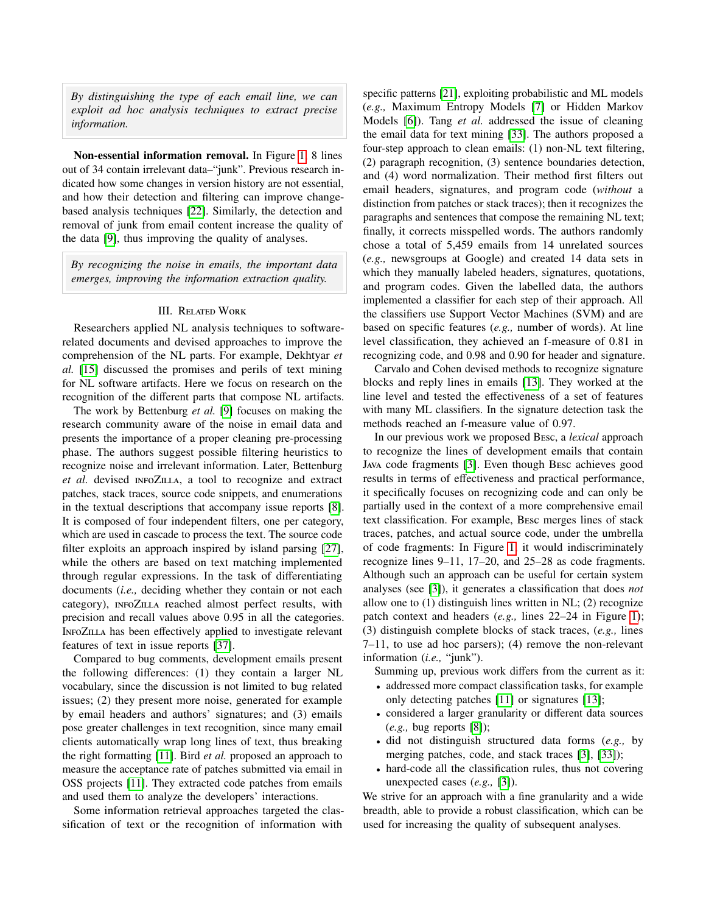*By distinguishing the type of each email line, we can exploit ad hoc analysis techniques to extract precise information.*

Non-essential information removal. In Figure [1,](#page-1-1) 8 lines out of 34 contain irrelevant data–"junk". Previous research indicated how some changes in version history are not essential, and how their detection and filtering can improve changebased analysis techniques [\[22\]](#page-10-7). Similarly, the detection and removal of junk from email content increase the quality of the data [\[9\]](#page-10-10), thus improving the quality of analyses.

*By recognizing the noise in emails, the important data emerges, improving the information extraction quality.*

### III. Related Work

<span id="page-2-0"></span>Researchers applied NL analysis techniques to softwarerelated documents and devised approaches to improve the comprehension of the NL parts. For example, Dekhtyar *et al.* [\[15\]](#page-10-19) discussed the promises and perils of text mining for NL software artifacts. Here we focus on research on the recognition of the different parts that compose NL artifacts.

The work by Bettenburg *et al.* [\[9\]](#page-10-10) focuses on making the research community aware of the noise in email data and presents the importance of a proper cleaning pre-processing phase. The authors suggest possible filtering heuristics to recognize noise and irrelevant information. Later, Bettenburg *et al.* devised infoZilla, a tool to recognize and extract patches, stack traces, source code snippets, and enumerations in the textual descriptions that accompany issue reports [\[8\]](#page-10-20). It is composed of four independent filters, one per category, which are used in cascade to process the text. The source code filter exploits an approach inspired by island parsing [\[27\]](#page-10-21), while the others are based on text matching implemented through regular expressions. In the task of differentiating documents (*i.e.,* deciding whether they contain or not each category), infoZilla reached almost perfect results, with precision and recall values above 0.95 in all the categories. InfoZilla has been effectively applied to investigate relevant features of text in issue reports [\[37\]](#page-10-6).

Compared to bug comments, development emails present the following differences: (1) they contain a larger NL vocabulary, since the discussion is not limited to bug related issues; (2) they present more noise, generated for example by email headers and authors' signatures; and (3) emails pose greater challenges in text recognition, since many email clients automatically wrap long lines of text, thus breaking the right formatting [\[11\]](#page-10-22). Bird *et al.* proposed an approach to measure the acceptance rate of patches submitted via email in OSS projects [\[11\]](#page-10-22). They extracted code patches from emails and used them to analyze the developers' interactions.

Some information retrieval approaches targeted the classification of text or the recognition of information with

specific patterns [\[21\]](#page-10-18), exploiting probabilistic and ML models (*e.g.,* Maximum Entropy Models [\[7\]](#page-10-23) or Hidden Markov Models [\[6\]](#page-10-24)). Tang *et al.* addressed the issue of cleaning the email data for text mining [\[33\]](#page-10-25). The authors proposed a four-step approach to clean emails: (1) non-NL text filtering, (2) paragraph recognition, (3) sentence boundaries detection, and (4) word normalization. Their method first filters out email headers, signatures, and program code (*without* a distinction from patches or stack traces); then it recognizes the paragraphs and sentences that compose the remaining NL text; finally, it corrects misspelled words. The authors randomly chose a total of 5,459 emails from 14 unrelated sources (*e.g.,* newsgroups at Google) and created 14 data sets in which they manually labeled headers, signatures, quotations, and program codes. Given the labelled data, the authors implemented a classifier for each step of their approach. All the classifiers use Support Vector Machines (SVM) and are based on specific features (*e.g.,* number of words). At line level classification, they achieved an f-measure of 0.81 in recognizing code, and 0.98 and 0.90 for header and signature.

Carvalo and Cohen devised methods to recognize signature blocks and reply lines in emails [\[13\]](#page-10-26). They worked at the line level and tested the effectiveness of a set of features with many ML classifiers. In the signature detection task the methods reached an f-measure value of 0.97.

In our previous work we proposed Besc, a *lexical* approach to recognize the lines of development emails that contain Java code fragments [\[3\]](#page-10-27). Even though Besc achieves good results in terms of effectiveness and practical performance, it specifically focuses on recognizing code and can only be partially used in the context of a more comprehensive email text classification. For example, Besc merges lines of stack traces, patches, and actual source code, under the umbrella of code fragments: In Figure [1,](#page-1-1) it would indiscriminately recognize lines 9–11, 17–20, and 25–28 as code fragments. Although such an approach can be useful for certain system analyses (see [\[3\]](#page-10-27)), it generates a classification that does *not* allow one to (1) distinguish lines written in NL; (2) recognize patch context and headers (*e.g.,* lines 22–24 in Figure [1\)](#page-1-1); (3) distinguish complete blocks of stack traces, (*e.g.,* lines 7–11, to use ad hoc parsers); (4) remove the non-relevant information (*i.e.,* "junk").

Summing up, previous work differs from the current as it:

- addressed more compact classification tasks, for example only detecting patches [\[11\]](#page-10-22) or signatures [\[13\]](#page-10-26);
- considered a larger granularity or different data sources (*e.g.,* bug reports [\[8\]](#page-10-20));
- did not distinguish structured data forms (*e.g.,* by merging patches, code, and stack traces [\[3\]](#page-10-27), [\[33\]](#page-10-25));
- hard-code all the classification rules, thus not covering unexpected cases (*e.g.,* [\[3\]](#page-10-27)).

We strive for an approach with a fine granularity and a wide breadth, able to provide a robust classification, which can be used for increasing the quality of subsequent analyses.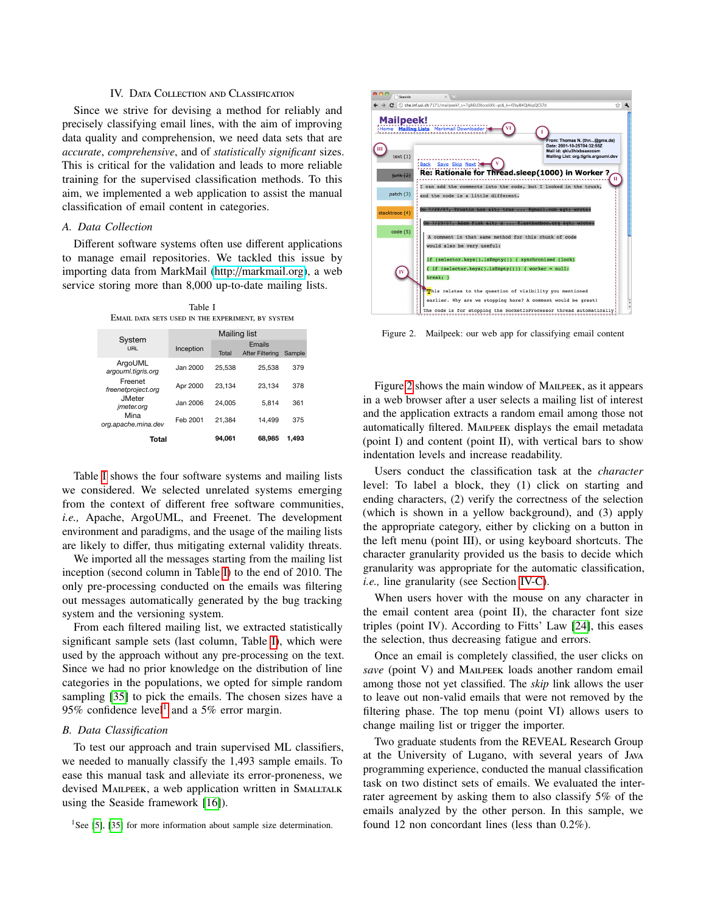### IV. DATA COLLECTION AND CLASSIFICATION

<span id="page-3-0"></span>Since we strive for devising a method for reliably and precisely classifying email lines, with the aim of improving data quality and comprehension, we need data sets that are *accurate*, *comprehensive*, and of *statistically significant* sizes. This is critical for the validation and leads to more reliable training for the supervised classification methods. To this aim, we implemented a web application to assist the manual classification of email content in categories.

### *A. Data Collection*

Different software systems often use different applications to manage email repositories. We tackled this issue by importing data from MarkMail (http://[markmail.org\)](http://markmail.org), a web service storing more than 8,000 up-to-date mailing lists.

Table I Email data sets used in the experiment, by system

<span id="page-3-1"></span>

|                                    | Mailing list |        |                           |        |  |  |  |  |
|------------------------------------|--------------|--------|---------------------------|--------|--|--|--|--|
| System<br>URL                      | Inception    | Total  | Emails<br>After Filtering | Sample |  |  |  |  |
| ArgoUML<br>argouml.tigris.org      | Jan 2000     | 25.538 | 25.538                    | 379    |  |  |  |  |
| Freenet<br>freenetproject.org      | Apr 2000     | 23.134 | 23.134                    | 378    |  |  |  |  |
| <b>JMeter</b><br><i>imeter.org</i> | Jan 2006     | 24.005 | 5.814                     | 361    |  |  |  |  |
| Mina<br>org.apache.mina.dev        | Feb 2001     | 21.384 | 14.499                    | 375    |  |  |  |  |
| Total                              |              | 94.061 | 68.985                    | 1.493  |  |  |  |  |

Table [I](#page-3-1) shows the four software systems and mailing lists we considered. We selected unrelated systems emerging from the context of different free software communities, *i.e.,* Apache, ArgoUML, and Freenet. The development environment and paradigms, and the usage of the mailing lists are likely to differ, thus mitigating external validity threats.

We imported all the messages starting from the mailing list inception (second column in Table [I\)](#page-3-1) to the end of 2010. The only pre-processing conducted on the emails was filtering out messages automatically generated by the bug tracking system and the versioning system.

From each filtered mailing list, we extracted statistically significant sample sets (last column, Table [I\)](#page-3-1), which were used by the approach without any pre-processing on the text. Since we had no prior knowledge on the distribution of line categories in the populations, we opted for simple random sampling [\[35\]](#page-10-28) to pick the emails. The chosen sizes have a 95% confidence level<sup>[1](#page-3-2)</sup> and a 5% error margin.

#### *B. Data Classification*

To test our approach and train supervised ML classifiers, we needed to manually classify the 1,493 sample emails. To ease this manual task and alleviate its error-proneness, we devised MAILPEEK, a web application written in SMALLTALK using the Seaside framework [\[16\]](#page-10-29)).



Figure 2. Mailpeek: our web app for classifying email content

<span id="page-3-3"></span>Figure [2](#page-3-3) shows the main window of MAILPEEK, as it appears in a web browser after a user selects a mailing list of interest and the application extracts a random email among those not automatically filtered. MAILPEEK displays the email metadata (point I) and content (point II), with vertical bars to show indentation levels and increase readability.

Users conduct the classification task at the *character* level: To label a block, they (1) click on starting and ending characters, (2) verify the correctness of the selection (which is shown in a yellow background), and (3) apply the appropriate category, either by clicking on a button in the left menu (point III), or using keyboard shortcuts. The character granularity provided us the basis to decide which granularity was appropriate for the automatic classification, *i.e.,* line granularity (see Section [IV-C\)](#page-4-1).

When users hover with the mouse on any character in the email content area (point II), the character font size triples (point IV). According to Fitts' Law [\[24\]](#page-10-30), this eases the selection, thus decreasing fatigue and errors.

Once an email is completely classified, the user clicks on *save* (point V) and MAILPEEK loads another random email among those not yet classified. The *skip* link allows the user to leave out non-valid emails that were not removed by the filtering phase. The top menu (point VI) allows users to change mailing list or trigger the importer.

Two graduate students from the REVEAL Research Group at the University of Lugano, with several years of Java programming experience, conducted the manual classification task on two distinct sets of emails. We evaluated the interrater agreement by asking them to also classify 5% of the emails analyzed by the other person. In this sample, we found 12 non concordant lines (less than 0.2%).

<span id="page-3-2"></span><sup>&</sup>lt;sup>1</sup>See [\[5\]](#page-10-13), [\[35\]](#page-10-28) for more information about sample size determination.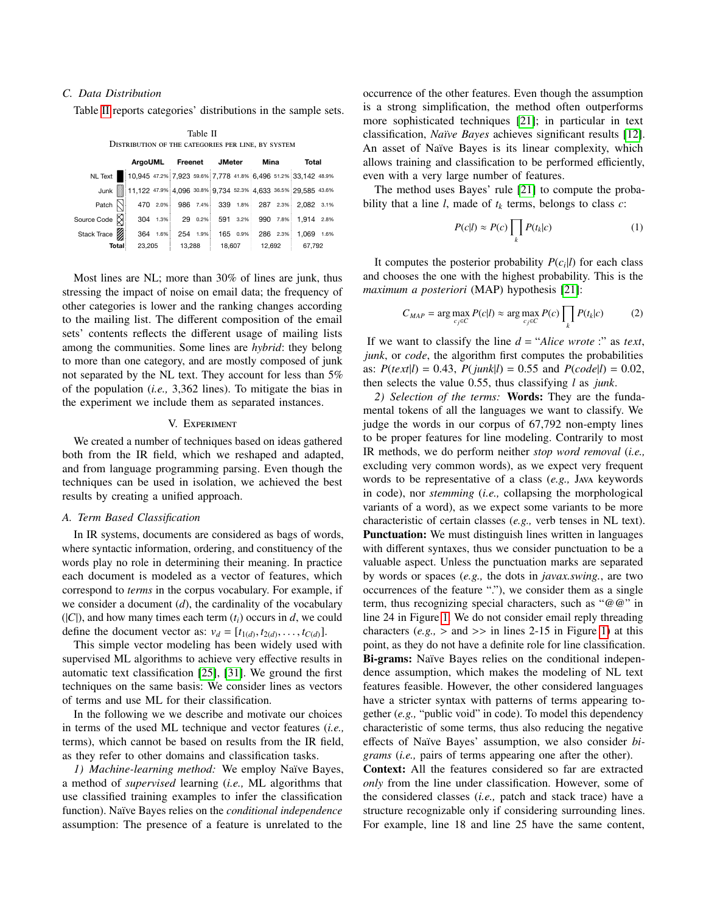# <span id="page-4-1"></span>*C. Data Distribution*

Table [II](#page-4-2) reports categories' distributions in the sample sets.

Table II

<span id="page-4-2"></span>

| DISTRIBUTION OF THE CATEGORIES PER LINE, BY SYSTEM |                        |  |          |                        |        |  |        |                            |        |                                                                    |  |
|----------------------------------------------------|------------------------|--|----------|------------------------|--------|--|--------|----------------------------|--------|--------------------------------------------------------------------|--|
|                                                    |                        |  |          | ArgoUML Freenet JMeter |        |  |        | Mina                       |        | Total                                                              |  |
| NL Text                                            |                        |  |          |                        |        |  |        |                            |        | 10,945 47.2% 7,923 59.6% 7,778 41.8% 6,496 51.2% 33,142 48.9%      |  |
|                                                    |                        |  |          |                        |        |  |        |                            |        | Junk 11,122 47.9% 4,096 30.8% 9,734 52.3% 4,633 36.5% 29,585 43.6% |  |
| Patch $\mathbb{N}$                                 |                        |  | 470 2.0% |                        |        |  |        |                            |        | 986 7.4% 339 1.8% 287 2.3% 2.082 3.1%                              |  |
| Source Code $\boxtimes$                            |                        |  |          |                        |        |  |        |                            |        | 304 1.3% 29 0.2% 591 3.2% 990 7.8% 1.914 2.8%                      |  |
| Stack Trace                                        |                        |  | 364 1.6% |                        |        |  |        | 254 1.9% 165 0.9% 286 2.3% |        | 1.069 1.6%                                                         |  |
|                                                    | 23,205<br><b>Total</b> |  | 13,288   |                        | 18,607 |  | 12,692 |                            | 67,792 |                                                                    |  |

Most lines are NL; more than 30% of lines are junk, thus stressing the impact of noise on email data; the frequency of other categories is lower and the ranking changes according to the mailing list. The different composition of the email sets' contents reflects the different usage of mailing lists among the communities. Some lines are *hybrid*: they belong to more than one category, and are mostly composed of junk not separated by the NL text. They account for less than 5% of the population (*i.e.,* 3,362 lines). To mitigate the bias in the experiment we include them as separated instances.

#### V. Experiment

<span id="page-4-0"></span>We created a number of techniques based on ideas gathered both from the IR field, which we reshaped and adapted, and from language programming parsing. Even though the techniques can be used in isolation, we achieved the best results by creating a unified approach.

#### <span id="page-4-3"></span>*A. Term Based Classification*

In IR systems, documents are considered as bags of words, where syntactic information, ordering, and constituency of the words play no role in determining their meaning. In practice each document is modeled as a vector of features, which correspond to *terms* in the corpus vocabulary. For example, if we consider a document (*d*), the cardinality of the vocabulary  $(|C|)$ , and how many times each term  $(t_i)$  occurs in *d*, we could define the document vector as:  $v_d = [t_{1(d)}, t_{2(d)}, \ldots, t_{C(d)}].$ <br>This simple vector modeling has been widely used w

This simple vector modeling has been widely used with supervised ML algorithms to achieve very effective results in automatic text classification [\[25\]](#page-10-11), [\[31\]](#page-10-31). We ground the first techniques on the same basis: We consider lines as vectors of terms and use ML for their classification.

In the following we we describe and motivate our choices in terms of the used ML technique and vector features (*i.e.,* terms), which cannot be based on results from the IR field, as they refer to other domains and classification tasks.

<span id="page-4-4"></span>*1) Machine-learning method:* We employ Naïve Bayes, a method of *supervised* learning (*i.e.,* ML algorithms that use classified training examples to infer the classification function). Naïve Bayes relies on the *conditional independence* assumption: The presence of a feature is unrelated to the occurrence of the other features. Even though the assumption is a strong simplification, the method often outperforms more sophisticated techniques [\[21\]](#page-10-18); in particular in text classification, *Na¨ıve Bayes* achieves significant results [\[12\]](#page-10-32). An asset of Naïve Bayes is its linear complexity, which allows training and classification to be performed efficiently, even with a very large number of features.

The method uses Bayes' rule [\[21\]](#page-10-18) to compute the probability that a line  $l$ , made of  $t_k$  terms, belongs to class  $c$ :

$$
P(c|l) \approx P(c) \prod_{k} P(t_k|c)
$$
 (1)

It computes the posterior probability  $P(c_i|l)$  for each class and chooses the one with the highest probability. This is the *maximum a posteriori* (MAP) hypothesis [\[21\]](#page-10-18):

$$
C_{MAP} = \arg\max_{c_j \in C} P(c|l) \approx \arg\max_{c_j \in C} P(c) \prod_k P(t_k|c)
$$
 (2)

If we want to classify the line  $d = "Alice wrote : " as text,$ *junk*, or *code*, the algorithm first computes the probabilities as:  $P(text|l) = 0.43, P(junk|l) = 0.55 \text{ and } P(code|l) = 0.02,$ then selects the value 0.55, thus classifying *l* as *junk*.

*2) Selection of the terms:* Words: They are the fundamental tokens of all the languages we want to classify. We judge the words in our corpus of 67,792 non-empty lines to be proper features for line modeling. Contrarily to most IR methods, we do perform neither *stop word removal* (*i.e.,* excluding very common words), as we expect very frequent words to be representative of a class (*e.g.,* Java keywords in code), nor *stemming* (*i.e.,* collapsing the morphological variants of a word), as we expect some variants to be more characteristic of certain classes (*e.g.,* verb tenses in NL text). Punctuation: We must distinguish lines written in languages with different syntaxes, thus we consider punctuation to be a valuable aspect. Unless the punctuation marks are separated by words or spaces (*e.g.,* the dots in *javax.swing.*, are two occurrences of the feature "."), we consider them as a single term, thus recognizing special characters, such as "@@" in line 24 in Figure [1.](#page-1-1) We do not consider email reply threading characters  $(e.g., > \text{and} \gg)$  in lines 2-15 in Figure [1\)](#page-1-1) at this point, as they do not have a definite role for line classification. Bi-grams: Naïve Bayes relies on the conditional independence assumption, which makes the modeling of NL text features feasible. However, the other considered languages have a stricter syntax with patterns of terms appearing together (*e.g.,* "public void" in code). To model this dependency characteristic of some terms, thus also reducing the negative effects of Naïve Bayes' assumption, we also consider *bigrams* (*i.e.,* pairs of terms appearing one after the other).

Context: All the features considered so far are extracted *only* from the line under classification. However, some of the considered classes (*i.e.,* patch and stack trace) have a structure recognizable only if considering surrounding lines. For example, line 18 and line 25 have the same content,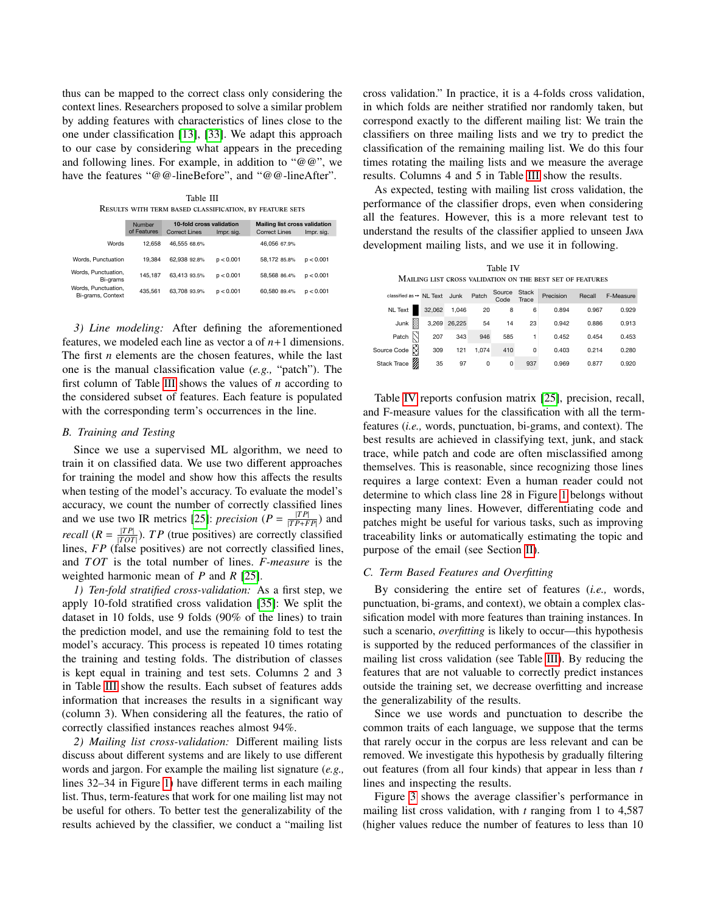thus can be mapped to the correct class only considering the context lines. Researchers proposed to solve a similar problem by adding features with characteristics of lines close to the one under classification [\[13\]](#page-10-26), [\[33\]](#page-10-25). We adapt this approach to our case by considering what appears in the preceding and following lines. For example, in addition to " $@@"$ , we have the features "@@-lineBefore", and "@@-lineAfter".

Table III Results with term based classification, by feature sets

<span id="page-5-0"></span>

|                                          | Number<br>of Features | 10-fold cross validation<br>Correct Lines | Impr. sig. | <b>Mailing list cross validation</b><br><b>Correct Lines</b> | Impr. sig. |
|------------------------------------------|-----------------------|-------------------------------------------|------------|--------------------------------------------------------------|------------|
| Words                                    | 12.658                | 46.555 68.6%                              |            | 46.056 67.9%                                                 |            |
| Words, Punctuation                       | 19.384                | 62.938 92.8%                              | p < 0.001  | 58.172 85.8%                                                 | p < 0.001  |
| Words, Punctuation,<br>Bi-grams          | 145.187               | 63.413 93.5%                              | p < 0.001  | 58.568 86.4%                                                 | p < 0.001  |
| Words, Punctuation,<br>Bi-grams, Context | 435.561               | 63.708 93.9%                              | p < 0.001  | 60.580 89.4%                                                 | p < 0.001  |
|                                          |                       |                                           |            |                                                              |            |

*3) Line modeling:* After defining the aforementioned features, we modeled each line as vector a of  $n+1$  dimensions. The first *n* elements are the chosen features, while the last one is the manual classification value (*e.g.,* "patch"). The first column of Table [III](#page-5-0) shows the values of *n* according to the considered subset of features. Each feature is populated with the corresponding term's occurrences in the line.

### *B. Training and Testing*

Since we use a supervised ML algorithm, we need to train it on classified data. We use two different approaches for training the model and show how this affects the results when testing of the model's accuracy. To evaluate the model's accuracy, we count the number of correctly classified lines and we use two IR metrics [\[25\]](#page-10-11): *precision*  $(P = \frac{|TP|}{|TP+FP|})$  and *recall*  $(R = \frac{|TP|}{|TOT|})$ . *TP* (true positives) are correctly classified lines, *FP* (false positives) are not correctly classified lines, and *TOT* is the total number of lines. *F-measure* is the weighted harmonic mean of *P* and *R* [\[25\]](#page-10-11).

*1) Ten-fold stratified cross-validation:* As a first step, we apply 10-fold stratified cross validation [\[35\]](#page-10-28): We split the dataset in 10 folds, use 9 folds (90% of the lines) to train the prediction model, and use the remaining fold to test the model's accuracy. This process is repeated 10 times rotating the training and testing folds. The distribution of classes is kept equal in training and test sets. Columns 2 and 3 in Table [III](#page-5-0) show the results. Each subset of features adds information that increases the results in a significant way (column 3). When considering all the features, the ratio of correctly classified instances reaches almost 94%.

*2) Mailing list cross-validation:* Different mailing lists discuss about different systems and are likely to use different words and jargon. For example the mailing list signature (*e.g.,* lines 32–34 in Figure [1\)](#page-1-1) have different terms in each mailing list. Thus, term-features that work for one mailing list may not be useful for others. To better test the generalizability of the results achieved by the classifier, we conduct a "mailing list cross validation." In practice, it is a 4-folds cross validation, in which folds are neither stratified nor randomly taken, but correspond exactly to the different mailing list: We train the classifiers on three mailing lists and we try to predict the classification of the remaining mailing list. We do this four times rotating the mailing lists and we measure the average results. Columns 4 and 5 in Table [III](#page-5-0) show the results.

As expected, testing with mailing list cross validation, the performance of the classifier drops, even when considering all the features. However, this is a more relevant test to understand the results of the classifier applied to unseen Java development mailing lists, and we use it in following.

| Table IV                                                  |  |  |  |  |  |  |  |  |
|-----------------------------------------------------------|--|--|--|--|--|--|--|--|
| MAILING LIST CROSS VALIDATION ON THE BEST SET OF FEATURES |  |  |  |  |  |  |  |  |

<span id="page-5-1"></span>

| classified as $\rightarrow$ NL Text Junk |        |              | Patch    | Source<br>Code | <b>Stack</b><br>Trace | Precision | Recall | F-Measure |
|------------------------------------------|--------|--------------|----------|----------------|-----------------------|-----------|--------|-----------|
| NL Text                                  | 32,062 | 1,046        | 20       | 8              | 6                     | 0.894     | 0.967  | 0.929     |
| I<br>Junk                                |        | 3,269 26,225 | 54       | 14             | 23                    | 0.942     | 0.886  | 0.913     |
| Patch                                    | 207    | 343          | 946      | 585            |                       | 0.452     | 0.454  | 0.453     |
| Source Code <b>N</b>                     | 309    | 121          | 1,074    | 410            | 0                     | 0.403     | 0.214  | 0.280     |
| Stack Trace                              | 35     | 97           | $\Omega$ | 0              | 937                   | 0.969     | 0.877  | 0.920     |

Table [IV](#page-5-1) reports confusion matrix [\[25\]](#page-10-11), precision, recall, and F-measure values for the classification with all the termfeatures (*i.e.,* words, punctuation, bi-grams, and context). The best results are achieved in classifying text, junk, and stack trace, while patch and code are often misclassified among themselves. This is reasonable, since recognizing those lines requires a large context: Even a human reader could not determine to which class line 28 in Figure [1](#page-1-1) belongs without inspecting many lines. However, differentiating code and patches might be useful for various tasks, such as improving traceability links or automatically estimating the topic and purpose of the email (see Section [II\)](#page-1-0).

### <span id="page-5-2"></span>*C. Term Based Features and Overfitting*

By considering the entire set of features (*i.e.,* words, punctuation, bi-grams, and context), we obtain a complex classification model with more features than training instances. In such a scenario, *overfitting* is likely to occur—this hypothesis is supported by the reduced performances of the classifier in mailing list cross validation (see Table [III\)](#page-5-0). By reducing the features that are not valuable to correctly predict instances outside the training set, we decrease overfitting and increase the generalizability of the results.

Since we use words and punctuation to describe the common traits of each language, we suppose that the terms that rarely occur in the corpus are less relevant and can be removed. We investigate this hypothesis by gradually filtering out features (from all four kinds) that appear in less than *t* lines and inspecting the results.

Figure [3](#page-6-0) shows the average classifier's performance in mailing list cross validation, with *t* ranging from 1 to 4,587 (higher values reduce the number of features to less than 10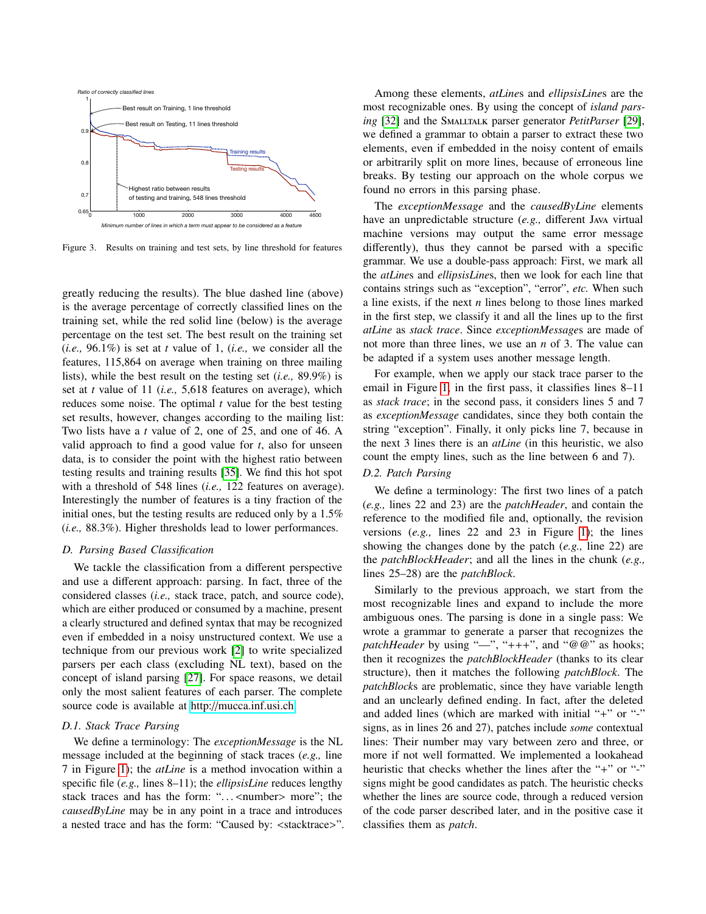

Figure 3. Results on training and test sets, by line threshold for features

greatly reducing the results). The blue dashed line (above) is the average percentage of correctly classified lines on the training set, while the red solid line (below) is the average percentage on the test set. The best result on the training set (*i.e.,* 96.1%) is set at *t* value of 1, (*i.e.,* we consider all the features, 115,864 on average when training on three mailing lists), while the best result on the testing set (*i.e.,* 89.9%) is set at *t* value of 11 (*i.e.,* 5,618 features on average), which reduces some noise. The optimal *t* value for the best testing set results, however, changes according to the mailing list: Two lists have a *t* value of 2, one of 25, and one of 46. A valid approach to find a good value for *t*, also for unseen data, is to consider the point with the highest ratio between testing results and training results [\[35\]](#page-10-28). We find this hot spot with a threshold of 548 lines (*i.e.,* 122 features on average). Interestingly the number of features is a tiny fraction of the initial ones, but the testing results are reduced only by a 1.5% (*i.e.,* 88.3%). Higher thresholds lead to lower performances.

### <span id="page-6-1"></span>*D. Parsing Based Classification*

We tackle the classification from a different perspective and use a different approach: parsing. In fact, three of the considered classes (*i.e.,* stack trace, patch, and source code), which are either produced or consumed by a machine, present a clearly structured and defined syntax that may be recognized even if embedded in a noisy unstructured context. We use a technique from our previous work [\[2\]](#page-10-33) to write specialized parsers per each class (excluding NL text), based on the concept of island parsing [\[27\]](#page-10-21). For space reasons, we detail only the most salient features of each parser. The complete source code is available at http://[mucca.inf.usi.ch.](http://mucca.inf.usi.ch)

### *D.1. Stack Trace Parsing*

We define a terminology: The *exceptionMessage* is the NL message included at the beginning of stack traces (*e.g.,* line 7 in Figure [1\)](#page-1-1); the *atLine* is a method invocation within a specific file (*e.g.,* lines 8–11); the *ellipsisLine* reduces lengthy stack traces and has the form: "...<number> more"; the *causedByLine* may be in any point in a trace and introduces a nested trace and has the form: "Caused by: <stacktrace>".

Among these elements, *atLine*s and *ellipsisLine*s are the most recognizable ones. By using the concept of *island parsing* [\[32\]](#page-10-34) and the Smalltalk parser generator *PetitParser* [\[29\]](#page-10-35), we defined a grammar to obtain a parser to extract these two elements, even if embedded in the noisy content of emails or arbitrarily split on more lines, because of erroneous line breaks. By testing our approach on the whole corpus we found no errors in this parsing phase.

<span id="page-6-0"></span>The *exceptionMessage* and the *causedByLine* elements have an unpredictable structure (*e.g.,* different Java virtual machine versions may output the same error message differently), thus they cannot be parsed with a specific grammar. We use a double-pass approach: First, we mark all the *atLine*s and *ellipsisLine*s, then we look for each line that contains strings such as "exception", "error", *etc.* When such a line exists, if the next *n* lines belong to those lines marked in the first step, we classify it and all the lines up to the first *atLine* as *stack trace*. Since *exceptionMessage*s are made of not more than three lines, we use an *n* of 3. The value can be adapted if a system uses another message length.

For example, when we apply our stack trace parser to the email in Figure [1,](#page-1-1) in the first pass, it classifies lines 8–11 as *stack trace*; in the second pass, it considers lines 5 and 7 as *exceptionMessage* candidates, since they both contain the string "exception". Finally, it only picks line 7, because in the next 3 lines there is an *atLine* (in this heuristic, we also count the empty lines, such as the line between 6 and 7).

## *D.2. Patch Parsing*

We define a terminology: The first two lines of a patch (*e.g.,* lines 22 and 23) are the *patchHeader*, and contain the reference to the modified file and, optionally, the revision versions (*e.g.,* lines 22 and 23 in Figure [1\)](#page-1-1); the lines showing the changes done by the patch (*e.g.,* line 22) are the *patchBlockHeader*; and all the lines in the chunk (*e.g.,* lines 25–28) are the *patchBlock*.

Similarly to the previous approach, we start from the most recognizable lines and expand to include the more ambiguous ones. The parsing is done in a single pass: We wrote a grammar to generate a parser that recognizes the *patchHeader* by using "—", "+++", and "@@" as hooks; then it recognizes the *patchBlockHeader* (thanks to its clear structure), then it matches the following *patchBlock*. The *patchBlock*s are problematic, since they have variable length and an unclearly defined ending. In fact, after the deleted and added lines (which are marked with initial "+" or "-" signs, as in lines 26 and 27), patches include *some* contextual lines: Their number may vary between zero and three, or more if not well formatted. We implemented a lookahead heuristic that checks whether the lines after the "+" or "-" signs might be good candidates as patch. The heuristic checks whether the lines are source code, through a reduced version of the code parser described later, and in the positive case it classifies them as *patch*.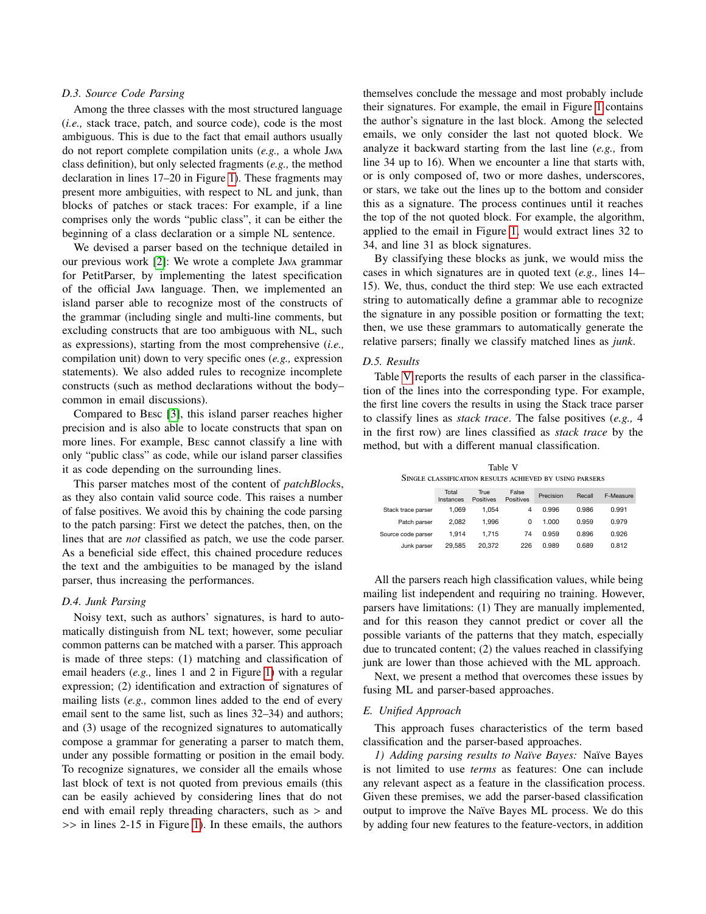### *D.3. Source Code Parsing*

Among the three classes with the most structured language (*i.e.,* stack trace, patch, and source code), code is the most ambiguous. This is due to the fact that email authors usually do not report complete compilation units (*e.g.,* a whole Java class definition), but only selected fragments (*e.g.,* the method declaration in lines 17–20 in Figure [1\)](#page-1-1). These fragments may present more ambiguities, with respect to NL and junk, than blocks of patches or stack traces: For example, if a line comprises only the words "public class", it can be either the beginning of a class declaration or a simple NL sentence.

We devised a parser based on the technique detailed in our previous work [\[2\]](#page-10-33): We wrote a complete Java grammar for PetitParser, by implementing the latest specification of the official Java language. Then, we implemented an island parser able to recognize most of the constructs of the grammar (including single and multi-line comments, but excluding constructs that are too ambiguous with NL, such as expressions), starting from the most comprehensive (*i.e.,* compilation unit) down to very specific ones (*e.g.,* expression statements). We also added rules to recognize incomplete constructs (such as method declarations without the body– common in email discussions).

Compared to Besc [\[3\]](#page-10-27), this island parser reaches higher precision and is also able to locate constructs that span on more lines. For example, Besc cannot classify a line with only "public class" as code, while our island parser classifies it as code depending on the surrounding lines.

This parser matches most of the content of *patchBlock*s, as they also contain valid source code. This raises a number of false positives. We avoid this by chaining the code parsing to the patch parsing: First we detect the patches, then, on the lines that are *not* classified as patch, we use the code parser. As a beneficial side effect, this chained procedure reduces the text and the ambiguities to be managed by the island parser, thus increasing the performances.

### *D.4. Junk Parsing*

Noisy text, such as authors' signatures, is hard to automatically distinguish from NL text; however, some peculiar common patterns can be matched with a parser. This approach is made of three steps: (1) matching and classification of email headers (*e.g.,* lines 1 and 2 in Figure [1\)](#page-1-1) with a regular expression; (2) identification and extraction of signatures of mailing lists (*e.g.,* common lines added to the end of every email sent to the same list, such as lines 32–34) and authors; and (3) usage of the recognized signatures to automatically compose a grammar for generating a parser to match them, under any possible formatting or position in the email body. To recognize signatures, we consider all the emails whose last block of text is not quoted from previous emails (this can be easily achieved by considering lines that do not end with email reply threading characters, such as > and >> in lines 2-15 in Figure [1\)](#page-1-1). In these emails, the authors

themselves conclude the message and most probably include their signatures. For example, the email in Figure [1](#page-1-1) contains the author's signature in the last block. Among the selected emails, we only consider the last not quoted block. We analyze it backward starting from the last line (*e.g.,* from line 34 up to 16). When we encounter a line that starts with, or is only composed of, two or more dashes, underscores, or stars, we take out the lines up to the bottom and consider this as a signature. The process continues until it reaches the top of the not quoted block. For example, the algorithm, applied to the email in Figure [1,](#page-1-1) would extract lines 32 to 34, and line 31 as block signatures.

By classifying these blocks as junk, we would miss the cases in which signatures are in quoted text (*e.g.,* lines 14– 15). We, thus, conduct the third step: We use each extracted string to automatically define a grammar able to recognize the signature in any possible position or formatting the text; then, we use these grammars to automatically generate the relative parsers; finally we classify matched lines as *junk*.

#### *D.5. Results*

Table [V](#page-7-0) reports the results of each parser in the classification of the lines into the corresponding type. For example, the first line covers the results in using the Stack trace parser to classify lines as *stack trace*. The false positives (*e.g.,* 4 in the first row) are lines classified as *stack trace* by the method, but with a different manual classification.

Table V Single classification results achieved by using parsers

<span id="page-7-0"></span>

|                    | Total<br>Instances | True<br>Positives | False<br>Positives | Precision | Recall | F-Measure |
|--------------------|--------------------|-------------------|--------------------|-----------|--------|-----------|
| Stack trace parser | 1.069              | 1.054             | 4                  | 0.996     | 0.986  | 0.991     |
| Patch parser       | 2.082              | 1.996             | 0                  | 1.000     | 0.959  | 0.979     |
| Source code parser | 1.914              | 1.715             | 74                 | 0.959     | 0.896  | 0.926     |
| Junk parser        | 29.585             | 20.372            | 226                | 0.989     | 0.689  | 0.812     |

All the parsers reach high classification values, while being mailing list independent and requiring no training. However, parsers have limitations: (1) They are manually implemented, and for this reason they cannot predict or cover all the possible variants of the patterns that they match, especially due to truncated content; (2) the values reached in classifying junk are lower than those achieved with the ML approach.

Next, we present a method that overcomes these issues by fusing ML and parser-based approaches.

### *E. Unified Approach*

This approach fuses characteristics of the term based classification and the parser-based approaches.

<span id="page-7-1"></span>1) Adding parsing results to Naïve Bayes: Naïve Bayes is not limited to use *terms* as features: One can include any relevant aspect as a feature in the classification process. Given these premises, we add the parser-based classification output to improve the Naïve Bayes ML process. We do this by adding four new features to the feature-vectors, in addition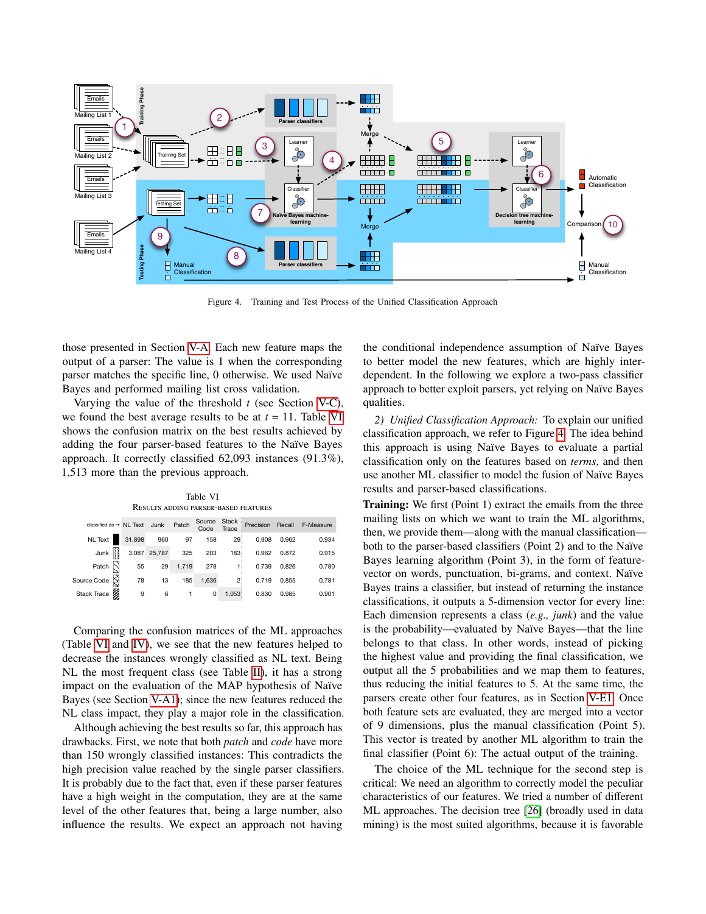

Figure 4. Training and Test Process of the Unified Classification Approach

those presented in Section [V-A.](#page-4-3) Each new feature maps the output of a parser: The value is 1 when the corresponding parser matches the specific line, 0 otherwise. We used Naïve Bayes and performed mailing list cross validation.

Varying the value of the threshold *t* (see Section [V-C\)](#page-5-2), we found the best average results to be at  $t = 11$ . Table [VI](#page-8-0) shows the confusion matrix on the best results achieved by adding the four parser-based features to the Naïve Bayes approach. It correctly classified 62,093 instances (91.3%), 1,513 more than the previous approach.

Table VI Results adding parser-based features

<span id="page-8-0"></span>

| classified as → NL Text Junk Patch |        |              |       | Source<br>Code | Stack<br>Trace    |       |       | Precision Recall F-Measure |
|------------------------------------|--------|--------------|-------|----------------|-------------------|-------|-------|----------------------------|
| <b>NL</b> Text                     | 31,898 | 960          | 97    | 158            | 29:               | 0.908 | 0.962 | 0.934                      |
| Junk                               |        | 3,087 25,787 | 325   | 203            | 183               | 0.962 | 0.872 | 0.915                      |
| Patch                              | 55     | 29           | 1,719 | 278            | $\overline{1}$    | 0.739 | 0.826 | 0.780                      |
| Source Code X                      | 78     | 13           | 185   | 1,636          | $2^{\frac{1}{2}}$ | 0.719 | 0.855 | 0.781                      |
| Stack Trace                        | 9      | 6            |       | 0              | 1,053             | 0.830 | 0.985 | 0.901                      |

Comparing the confusion matrices of the ML approaches (Table [VI](#page-8-0) and [IV\)](#page-5-1), we see that the new features helped to decrease the instances wrongly classified as NL text. Being NL the most frequent class (see Table [II\)](#page-4-2), it has a strong impact on the evaluation of the MAP hypothesis of Naïve Bayes (see Section [V-A1\)](#page-4-4); since the new features reduced the NL class impact, they play a major role in the classification.

Although achieving the best results so far, this approach has drawbacks. First, we note that both *patch* and *code* have more than 150 wrongly classified instances: This contradicts the high precision value reached by the single parser classifiers. It is probably due to the fact that, even if these parser features have a high weight in the computation, they are at the same level of the other features that, being a large number, also influence the results. We expect an approach not having

<span id="page-8-1"></span>the conditional independence assumption of Naïve Bayes to better model the new features, which are highly interdependent. In the following we explore a two-pass classifier approach to better exploit parsers, yet relying on Naïve Bayes qualities.

*2) Unified Classification Approach:* To explain our unified classification approach, we refer to Figure [4.](#page-8-1) The idea behind this approach is using Naïve Bayes to evaluate a partial classification only on the features based on *terms*, and then use another ML classifier to model the fusion of Naïve Bayes results and parser-based classifications.

Training: We first (Point 1) extract the emails from the three mailing lists on which we want to train the ML algorithms, then, we provide them—along with the manual classification both to the parser-based classifiers (Point 2) and to the Naïve Bayes learning algorithm (Point 3), in the form of featurevector on words, punctuation, bi-grams, and context. Naïve Bayes trains a classifier, but instead of returning the instance classifications, it outputs a 5-dimension vector for every line: Each dimension represents a class (*e.g., junk*) and the value is the probability—evaluated by Naïve Bayes—that the line belongs to that class. In other words, instead of picking the highest value and providing the final classification, we output all the 5 probabilities and we map them to features, thus reducing the initial features to 5. At the same time, the parsers create other four features, as in Section [V-E1.](#page-7-1) Once both feature sets are evaluated, they are merged into a vector of 9 dimensions, plus the manual classification (Point 5). This vector is treated by another ML algorithm to train the final classifier (Point 6): The actual output of the training.

The choice of the ML technique for the second step is critical: We need an algorithm to correctly model the peculiar characteristics of our features. We tried a number of different ML approaches. The decision tree [\[26\]](#page-10-36) (broadly used in data mining) is the most suited algorithms, because it is favorable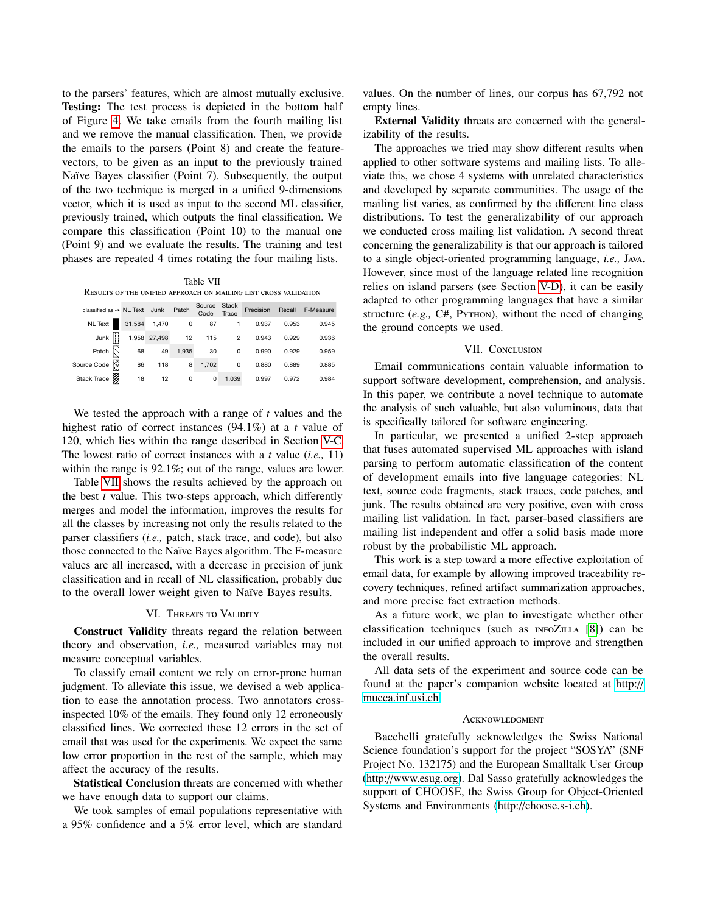to the parsers' features, which are almost mutually exclusive. Testing: The test process is depicted in the bottom half of Figure [4.](#page-8-1) We take emails from the fourth mailing list and we remove the manual classification. Then, we provide the emails to the parsers (Point 8) and create the featurevectors, to be given as an input to the previously trained Naïve Bayes classifier (Point 7). Subsequently, the output of the two technique is merged in a unified 9-dimensions vector, which it is used as input to the second ML classifier, previously trained, which outputs the final classification. We compare this classification (Point 10) to the manual one (Point 9) and we evaluate the results. The training and test phases are repeated 4 times rotating the four mailing lists.

<span id="page-9-2"></span>Table VII Results of the unified approach on mailing list cross validation

| classified as $\rightarrow$ NL Text Junk |   |        |              | Patch | Source<br>Code | <b>Stack</b><br>Trace | Precision |       | Recall F-Measure |
|------------------------------------------|---|--------|--------------|-------|----------------|-----------------------|-----------|-------|------------------|
| NL Text                                  |   | 31,584 | 1,470        | 0     | 87             |                       | 0.937     | 0.953 | 0.945            |
| Junk                                     | H |        | 1,958 27,498 | 12    | 115            | 2:                    | 0.943     | 0.929 | 0.936            |
| Patch                                    |   | 68     | 49           | 1,935 | 30             | 0                     | 0.990     | 0.929 | 0.959            |
| Source Code N                            |   | 86     | 118          | 8     | 1,702          | 0                     | 0.880     | 0.889 | 0.885            |
| Stack Trace                              |   | 18     | 12           | 0     | 0              | 1,039                 | 0.997     | 0.972 | 0.984            |

We tested the approach with a range of *t* values and the highest ratio of correct instances (94.1%) at a *t* value of 120, which lies within the range described in Section [V-C.](#page-5-2) The lowest ratio of correct instances with a *t* value (*i.e.,* 11) within the range is 92.1%; out of the range, values are lower.

Table [VII](#page-9-2) shows the results achieved by the approach on the best *t* value. This two-steps approach, which differently merges and model the information, improves the results for all the classes by increasing not only the results related to the parser classifiers (*i.e.,* patch, stack trace, and code), but also those connected to the Naïve Bayes algorithm. The F-measure values are all increased, with a decrease in precision of junk classification and in recall of NL classification, probably due to the overall lower weight given to Naïve Bayes results.

#### VI. THREATS TO VALIDITY

<span id="page-9-0"></span>Construct Validity threats regard the relation between theory and observation, *i.e.,* measured variables may not measure conceptual variables.

To classify email content we rely on error-prone human judgment. To alleviate this issue, we devised a web application to ease the annotation process. Two annotators crossinspected 10% of the emails. They found only 12 erroneously classified lines. We corrected these 12 errors in the set of email that was used for the experiments. We expect the same low error proportion in the rest of the sample, which may affect the accuracy of the results.

Statistical Conclusion threats are concerned with whether we have enough data to support our claims.

We took samples of email populations representative with a 95% confidence and a 5% error level, which are standard values. On the number of lines, our corpus has 67,792 not empty lines.

External Validity threats are concerned with the generalizability of the results.

The approaches we tried may show different results when applied to other software systems and mailing lists. To alleviate this, we chose 4 systems with unrelated characteristics and developed by separate communities. The usage of the mailing list varies, as confirmed by the different line class distributions. To test the generalizability of our approach we conducted cross mailing list validation. A second threat concerning the generalizability is that our approach is tailored to a single object-oriented programming language, *i.e.,* Java. However, since most of the language related line recognition relies on island parsers (see Section [V-D\)](#page-6-1), it can be easily adapted to other programming languages that have a similar structure (*e.g.,* C#, Python), without the need of changing the ground concepts we used.

#### VII. CONCLUSION

<span id="page-9-1"></span>Email communications contain valuable information to support software development, comprehension, and analysis. In this paper, we contribute a novel technique to automate the analysis of such valuable, but also voluminous, data that is specifically tailored for software engineering.

In particular, we presented a unified 2-step approach that fuses automated supervised ML approaches with island parsing to perform automatic classification of the content of development emails into five language categories: NL text, source code fragments, stack traces, code patches, and junk. The results obtained are very positive, even with cross mailing list validation. In fact, parser-based classifiers are mailing list independent and offer a solid basis made more robust by the probabilistic ML approach.

This work is a step toward a more effective exploitation of email data, for example by allowing improved traceability recovery techniques, refined artifact summarization approaches, and more precise fact extraction methods.

As a future work, we plan to investigate whether other classification techniques (such as INFOZILLA [\[8\]](#page-10-20)) can be included in our unified approach to improve and strengthen the overall results.

All data sets of the experiment and source code can be found at the paper's companion website located at [http:](http://mucca.inf.usi.ch)// [mucca.inf.usi.ch.](http://mucca.inf.usi.ch)

#### **ACKNOWLEDGMENT**

Bacchelli gratefully acknowledges the Swiss National Science foundation's support for the project "SOSYA" (SNF Project No. 132175) and the European Smalltalk User Group (http://[www.esug.org\)](http://www.esug.org). Dal Sasso gratefully acknowledges the support of CHOOSE, the Swiss Group for Object-Oriented Systems and Environments (http://[choose.s-i.ch\)](http://choose.s-i.ch).